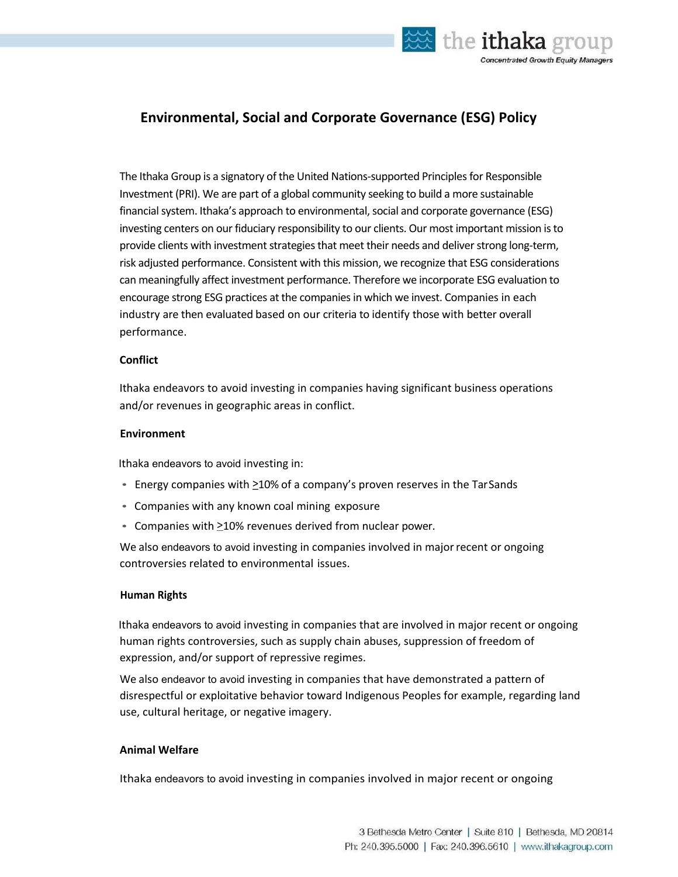

# **Environmental, Social and Corporate Governance (ESG) Policy**

The Ithaka Group is a signatory of the United Nations-supported Principles for Responsible Investment (PRI). We are part of a global community seeking to build a more sustainable financial system. Ithaka's approach to environmental, social and corporate governance (ESG) investing centers on our fiduciary responsibility to our clients. Our most important mission isto provide clients with investment strategies that meet their needs and deliver strong long-term, risk adjusted performance. Consistent with this mission, we recognize that ESG considerations can meaningfully affect investment performance. Therefore we incorporate ESG evaluation to encourage strong ESG practices at the companies in which we invest. Companies in each industry are then evaluated based on our criteria to identify those with better overall performance.

## **Conflict**

Ithaka endeavors to avoid investing in companies having significant business operations and/or revenues in geographic areas in conflict.

### **Environment**

Ithaka endeavors to avoid investing in:

- Energy companies with  $\geq$ 10% of a company's proven reserves in the TarSands
- Companies with any known coal mining exposure
- Companies with  $\geq 10\%$  revenues derived from nuclear power.

We also endeavors to avoid investing in companies involved in major recent or ongoing controversies related to environmental issues.

### **Human Rights**

Ithaka endeavors to avoid investing in companies that are involved in major recent or ongoing human rights controversies, such as supply chain abuses, suppression of freedom of expression, and/or support of repressive regimes.

We also endeavor to avoid investing in companies that have demonstrated a pattern of disrespectful or exploitative behavior toward Indigenous Peoples for example, regarding land use, cultural heritage, or negative imagery.

## **Animal Welfare**

Ithaka endeavors to avoid investing in companies involved in major recent or ongoing